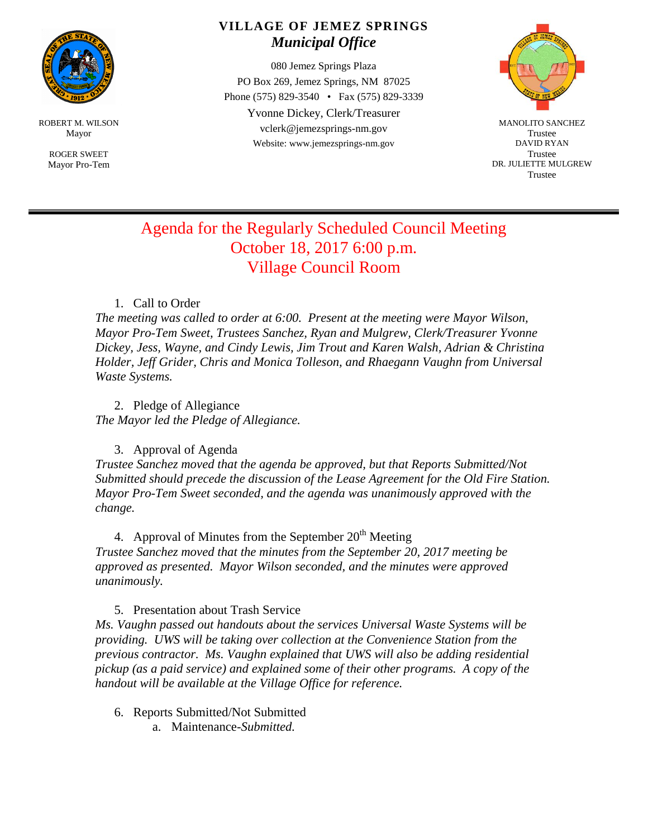

ROBERT M. WILSON Mayor

> ROGER SWEET Mayor Pro-Tem

## **VILLAGE OF JEMEZ SPRINGS** *Municipal Office*

080 Jemez Springs Plaza PO Box 269, Jemez Springs, NM 87025 Phone (575) 829-3540 • Fax (575) 829-3339 Yvonne Dickey, Clerk/Treasurer vclerk@jemezsprings-nm.gov Website: www.jemezsprings-nm.gov



MANOLITO SANCHEZ Trustee DAVID RYAN Trustee DR. JULIETTE MULGREW Trustee

# Agenda for the Regularly Scheduled Council Meeting October 18, 2017 6:00 p.m. Village Council Room

#### 1. Call to Order

*The meeting was called to order at 6:00. Present at the meeting were Mayor Wilson, Mayor Pro-Tem Sweet, Trustees Sanchez, Ryan and Mulgrew, Clerk/Treasurer Yvonne Dickey, Jess, Wayne, and Cindy Lewis, Jim Trout and Karen Walsh, Adrian & Christina Holder, Jeff Grider, Chris and Monica Tolleson, and Rhaegann Vaughn from Universal Waste Systems.*

2. Pledge of Allegiance *The Mayor led the Pledge of Allegiance.*

### 3. Approval of Agenda

*Trustee Sanchez moved that the agenda be approved, but that Reports Submitted/Not Submitted should precede the discussion of the Lease Agreement for the Old Fire Station. Mayor Pro-Tem Sweet seconded, and the agenda was unanimously approved with the change.*

4. Approval of Minutes from the September  $20<sup>th</sup>$  Meeting

*Trustee Sanchez moved that the minutes from the September 20, 2017 meeting be approved as presented. Mayor Wilson seconded, and the minutes were approved unanimously.*

#### 5. Presentation about Trash Service

*Ms. Vaughn passed out handouts about the services Universal Waste Systems will be providing. UWS will be taking over collection at the Convenience Station from the previous contractor. Ms. Vaughn explained that UWS will also be adding residential pickup (as a paid service) and explained some of their other programs. A copy of the handout will be available at the Village Office for reference.*

- 6. Reports Submitted/Not Submitted
	- a. Maintenance-*Submitted.*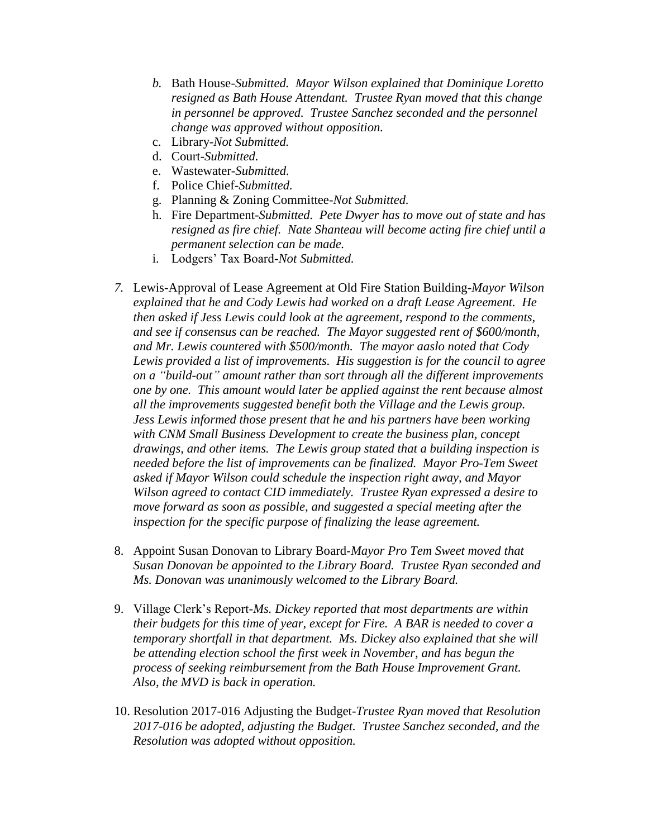- *b.* Bath House-*Submitted. Mayor Wilson explained that Dominique Loretto resigned as Bath House Attendant. Trustee Ryan moved that this change in personnel be approved. Trustee Sanchez seconded and the personnel change was approved without opposition.*
- c. Library-*Not Submitted.*
- d. Court-*Submitted.*
- e. Wastewater-*Submitted.*
- f. Police Chief-*Submitted.*
- g. Planning & Zoning Committee-*Not Submitted.*
- h. Fire Department-*Submitted. Pete Dwyer has to move out of state and has resigned as fire chief. Nate Shanteau will become acting fire chief until a permanent selection can be made.*
- i. Lodgers' Tax Board-*Not Submitted.*
- *7.* Lewis-Approval of Lease Agreement at Old Fire Station Building-*Mayor Wilson explained that he and Cody Lewis had worked on a draft Lease Agreement. He then asked if Jess Lewis could look at the agreement, respond to the comments, and see if consensus can be reached. The Mayor suggested rent of \$600/month, and Mr. Lewis countered with \$500/month. The mayor aaslo noted that Cody Lewis provided a list of improvements. His suggestion is for the council to agree on a "build-out" amount rather than sort through all the different improvements one by one. This amount would later be applied against the rent because almost all the improvements suggested benefit both the Village and the Lewis group. Jess Lewis informed those present that he and his partners have been working with CNM Small Business Development to create the business plan, concept drawings, and other items. The Lewis group stated that a building inspection is needed before the list of improvements can be finalized. Mayor Pro-Tem Sweet asked if Mayor Wilson could schedule the inspection right away, and Mayor Wilson agreed to contact CID immediately. Trustee Ryan expressed a desire to move forward as soon as possible, and suggested a special meeting after the inspection for the specific purpose of finalizing the lease agreement.*
- 8. Appoint Susan Donovan to Library Board-*Mayor Pro Tem Sweet moved that Susan Donovan be appointed to the Library Board. Trustee Ryan seconded and Ms. Donovan was unanimously welcomed to the Library Board.*
- 9. Village Clerk's Report-*Ms. Dickey reported that most departments are within their budgets for this time of year, except for Fire. A BAR is needed to cover a temporary shortfall in that department. Ms. Dickey also explained that she will be attending election school the first week in November, and has begun the process of seeking reimbursement from the Bath House Improvement Grant. Also, the MVD is back in operation.*
- 10. Resolution 2017-016 Adjusting the Budget-*Trustee Ryan moved that Resolution 2017-016 be adopted, adjusting the Budget. Trustee Sanchez seconded, and the Resolution was adopted without opposition.*